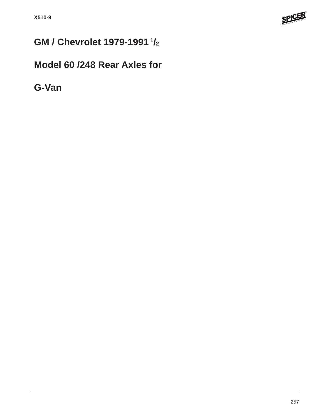

# **GM / Chevrolet 1979-1991 1/2**

## **Model 60 /248 Rear Axles for**

**G-Van**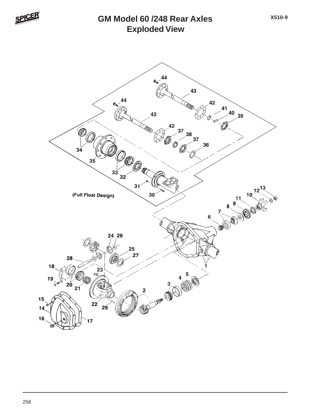

#### **Exploded View GM Model 60 /248 Rear Axles**

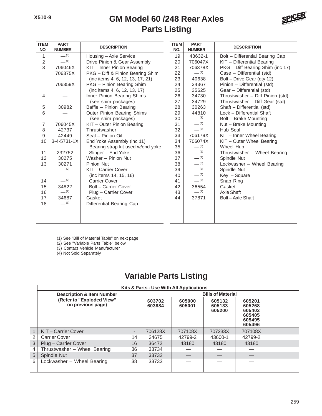#### **Parts Listing GM Model 60 /248 Rear Axles**



| <b>ITEM</b><br>NO. | <b>PART</b><br><b>NUMBER</b> | <b>DESCRIPTION</b>                | <b>ITEM</b><br>NO. | <b>PART</b><br><b>NUMBER</b> | <b>DESCRIPTION</b>               |
|--------------------|------------------------------|-----------------------------------|--------------------|------------------------------|----------------------------------|
| 1                  | $-^{(3)}$                    | Housing - Axle Service            | 19                 | 48632-1                      | Bolt - Differential Bearing Cap  |
| $\overline{c}$     | $-$ (1)                      | Drive Pinion & Gear Assembly      | 20                 | 706047X                      | KIT - Differential Bearing       |
| 3                  | 706046X                      | KIT - Inner Pinion Bearing        | 21                 | 706378X                      | PKG - Diff Bearing Shim (inc 17) |
|                    | 706375X                      | PKG - Diff & Pinion Bearing Shim  | 22                 | $-$ (4)                      | Case - Differential (std)        |
|                    |                              | (inc items 4, 6, 12, 13, 17, 21)  | 23                 | 40638                        | Bolt - Drive Gear (qty 12)       |
|                    | 706359X                      | PKG - Pinion Bearing Shim         | 24                 | 34367                        | Pinion - Differential (std)      |
|                    |                              | (inc items 4, 6, 12, 13, 17)      | 25                 | 35625                        | Gear - Differential (std)        |
| 4                  |                              | Inner Pinion Bearing Shims        | 26                 | 34730                        | Thrustwasher - Diff Pinion (std) |
|                    |                              | (see shim packages)               | 27                 | 34729                        | Thrustwasher - Diff Gear (std)   |
| 5                  | 30982                        | Baffle - Pinion Bearing           | 28                 | 30263                        | Shaft - Differential (std)       |
| 6                  |                              | <b>Outer Pinion Bearing Shims</b> |                    | 44810                        | Lock - Differential Shaft        |
|                    |                              | (see shim packages)               | 30                 | $-^{(3)}$                    | Bolt - Brake Mounting            |
| $\overline{7}$     | 706045X                      | KIT - Outer Pinion Bearing        | 31                 | $-^{(3)}$                    | Nut - Brake Mounting             |
| 8                  | 42737                        | Thrustwasher                      | 32                 | $-^{(3)}$                    | Hub Seal                         |
| 9                  | 42449                        | Seal - Pinion Oil                 | 33                 | 706179X                      | KIT - Inner Wheel Bearing        |
| 10                 | $3 - 4 - 5731 - 1X$          | End Yoke Assembly (inc 11)        | 34                 | 706074X                      | KIT - Outer Wheel Bearing        |
|                    |                              | Bearing strap kit used w/end yoke | 35                 | $-^{(3)}$                    | Wheel Hub                        |
| 11                 | 232752                       | Slinger - End Yoke                | 36                 | $-^{(2)}$                    | Thrustwasher - Wheel Bearing     |
| 12                 | 30275                        | Washer - Pinion Nut               | 37                 | $-^{(2)}$                    | Spindle Nut                      |
| 13                 | 30271                        | Pinion Nut                        | 38                 | $-^{(2)}$                    | Lockwasher - Wheel Bearing       |
|                    | $- (2)$                      | KIT - Carrier Cover               | 39                 | $-^{(3)}$                    | Spindle Nut                      |
|                    |                              | (inc items 14, 15, 16)            | 40                 | $-^{(3)}$                    | Key - Square                     |
| 14                 | $-$ (2)                      | Carrier Cover                     | 41                 | $-^{(3)}$                    | Snap Ring                        |
| 15                 | 34822                        | Bolt - Carrier Cover              | 42                 | 36554                        | Gasket                           |
| 16                 | $-^{(2)}$                    | Plug - Carrier Cover              | 43                 | $-$ (1)                      | Axle Shaft                       |
| 17                 | 34687                        | Gasket                            | 44                 | 37871                        | Bolt-Axle Shaft                  |
| 18                 | $- (3)$                      | Differential Bearing Cap          |                    |                              |                                  |
|                    |                              |                                   |                    |                              |                                  |

(1) See "Bill of Material Table" on next page

(2) See "Variable Parts Table" below

(3) Contact Vehicle Manufacturer

(4) Not Sold Separately

### **Variable Parts Listing**

|   | Kits & Parts - Use With All Applications       |                          |                  |                            |                                                          |         |  |  |
|---|------------------------------------------------|--------------------------|------------------|----------------------------|----------------------------------------------------------|---------|--|--|
|   | <b>Description &amp; Item Number</b>           | <b>Bills of Material</b> |                  |                            |                                                          |         |  |  |
|   | (Refer to "Exploded View"<br>on previous page) | 603702<br>603884         | 605000<br>605001 | 605132<br>605133<br>605200 | 605201<br>605268<br>605403<br>605405<br>605495<br>605496 |         |  |  |
| 1 | KIT-Carrier Cover                              | -                        | 706128X          | 707108X                    | 707233X                                                  | 707108X |  |  |
|   | <b>Carrier Cover</b>                           | 14                       | 34675            | 42799-2                    | 43600-1                                                  | 42799-2 |  |  |
| 3 | Plug - Carrier Cover                           | 16                       | 36472            | 43180                      | 43180                                                    | 43180   |  |  |
|   | Thrustwasher - Wheel Bearing                   | 36                       | 33734            |                            |                                                          |         |  |  |
| 5 | Spindle Nut                                    |                          | 33732            |                            |                                                          |         |  |  |
| 6 | Lockwasher - Wheel Bearing                     | 38                       | 33733            |                            |                                                          |         |  |  |